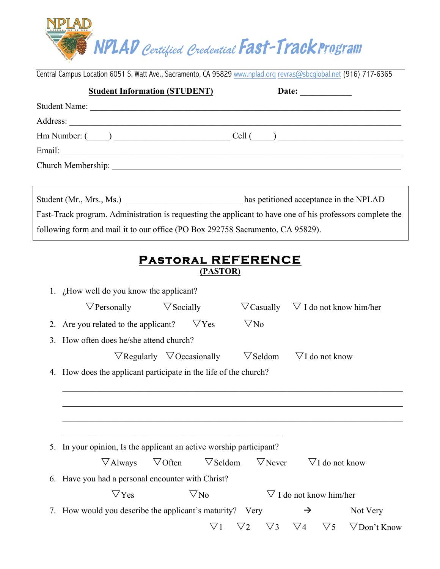

Central Campus Location 6051 S. Watt Ave., Sacramento, CA 95829 www.nplad.org revras@sbcglobal.net (916) 717-6365

|                                                                                                           | <b>Student Information (STUDENT)</b> | Date: $\qquad \qquad$                                                         |  |  |  |  |
|-----------------------------------------------------------------------------------------------------------|--------------------------------------|-------------------------------------------------------------------------------|--|--|--|--|
|                                                                                                           | Student Name:                        |                                                                               |  |  |  |  |
|                                                                                                           |                                      |                                                                               |  |  |  |  |
|                                                                                                           |                                      | $\mathsf{Hm}$ Number: $(\_\_\_\_\_\_\_\_\_\_\$ Cell $(\_\_\_\_\_\_\_\_\_\_\_$ |  |  |  |  |
|                                                                                                           |                                      |                                                                               |  |  |  |  |
|                                                                                                           |                                      |                                                                               |  |  |  |  |
|                                                                                                           |                                      |                                                                               |  |  |  |  |
|                                                                                                           |                                      | Student (Mr., Mrs., Ms.) has petitioned acceptance in the NPLAD               |  |  |  |  |
| Fast-Track program. Administration is requesting the applicant to have one of his professors complete the |                                      |                                                                               |  |  |  |  |
| following form and mail it to our office (PO Box 292758 Sacramento, CA 95829).                            |                                      |                                                                               |  |  |  |  |
|                                                                                                           |                                      |                                                                               |  |  |  |  |

## **Pastoral REFERENCE (PASTOR)**

1. ¿How well do you know the applicant?

| $\nabla$ Personally                                                 | $\nabla$ Socially                        |                          | $\nabla$ Casually $\nabla$ I do not know him/her |                     |  |  |  |
|---------------------------------------------------------------------|------------------------------------------|--------------------------|--------------------------------------------------|---------------------|--|--|--|
| 2. Are you related to the applicant?                                | $\nabla$ Yes                             | $\nabla$ No              |                                                  |                     |  |  |  |
| 3. How often does he/she attend church?                             |                                          |                          |                                                  |                     |  |  |  |
|                                                                     | $\nabla$ Regularly $\nabla$ Occasionally | $\nabla$ Seldom          | $\nabla I$ do not know                           |                     |  |  |  |
| 4. How does the applicant participate in the life of the church?    |                                          |                          |                                                  |                     |  |  |  |
|                                                                     |                                          |                          |                                                  |                     |  |  |  |
|                                                                     |                                          |                          |                                                  |                     |  |  |  |
|                                                                     |                                          |                          |                                                  |                     |  |  |  |
| 5. In your opinion, Is the applicant an active worship participant? |                                          |                          |                                                  |                     |  |  |  |
| $\nabla$ Always $\nabla$ Often                                      | $\nabla$ Seldom                          | $\nabla$ Never           | $\nabla I$ do not know                           |                     |  |  |  |
|                                                                     |                                          |                          |                                                  |                     |  |  |  |
| 6. Have you had a personal encounter with Christ?                   |                                          |                          |                                                  |                     |  |  |  |
| $\nabla$ Yes                                                        | $\nabla$ No                              |                          | $\nabla$ I do not know him/her                   |                     |  |  |  |
| 7. How would you describe the applicant's maturity? Very            |                                          |                          | $\rightarrow$                                    | Not Very            |  |  |  |
|                                                                     | $\nabla$ 1                               | $\nabla$ 3<br>$\nabla$ 2 | $\nabla$ 5<br>$\nabla 4$                         | $\nabla$ Don't Know |  |  |  |
|                                                                     |                                          |                          |                                                  |                     |  |  |  |